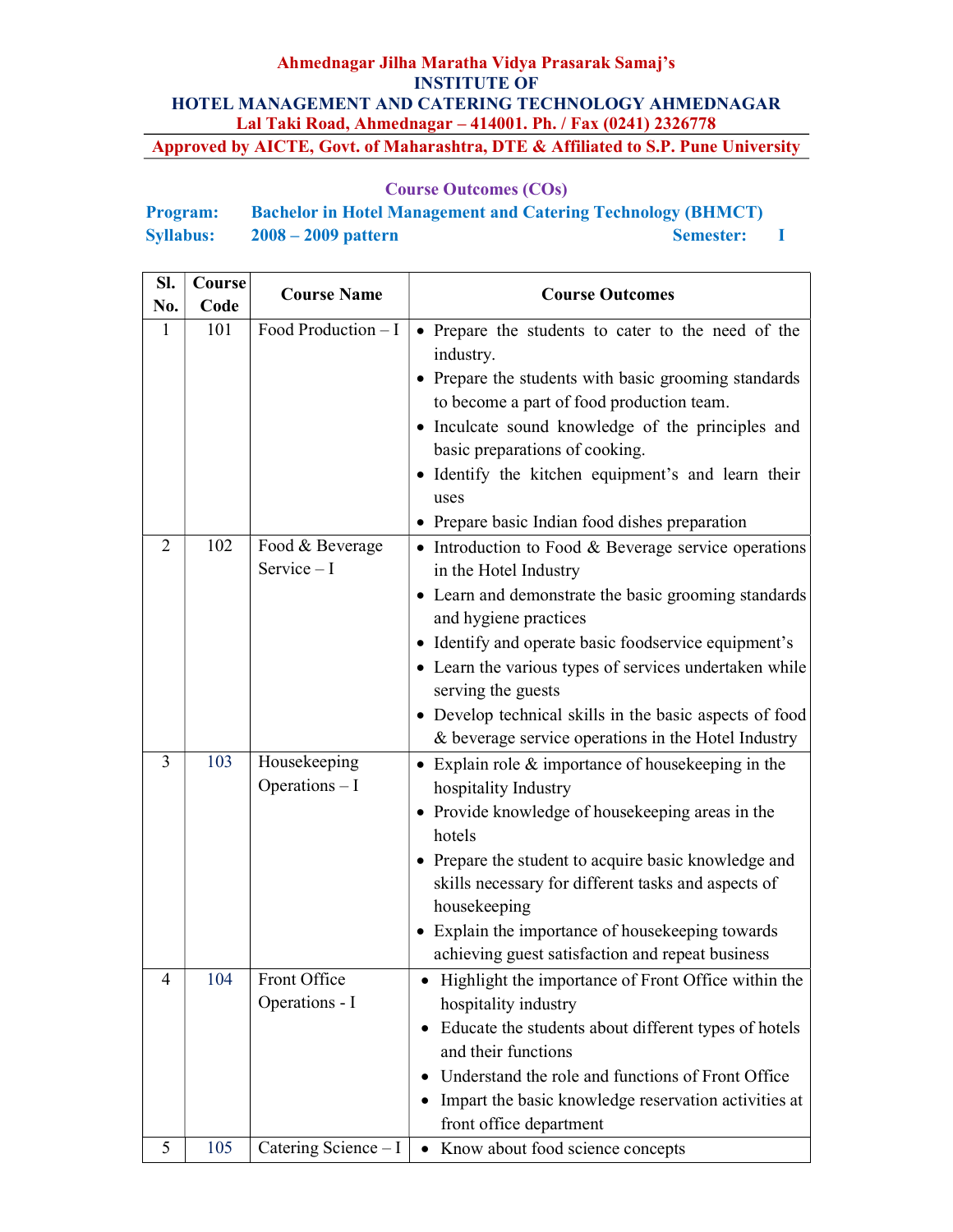| <b>Program:</b>  | <b>Bachelor in Hotel Management and Catering Technology (BHMCT)</b> |                  |  |
|------------------|---------------------------------------------------------------------|------------------|--|
| <b>Syllabus:</b> | $2008 - 2009$ pattern                                               | <b>Semester:</b> |  |

| Sl. | Course | <b>Course Name</b>              | <b>Course Outcomes</b>                                                                                                                                                                                                                                                                                                                                                                                                   |  |
|-----|--------|---------------------------------|--------------------------------------------------------------------------------------------------------------------------------------------------------------------------------------------------------------------------------------------------------------------------------------------------------------------------------------------------------------------------------------------------------------------------|--|
| No. | Code   |                                 |                                                                                                                                                                                                                                                                                                                                                                                                                          |  |
| 1   | 101    | Food Production $- I$           | • Prepare the students to cater to the need of the<br>industry.<br>• Prepare the students with basic grooming standards<br>to become a part of food production team.<br>• Inculcate sound knowledge of the principles and<br>basic preparations of cooking.<br>· Identify the kitchen equipment's and learn their<br>uses<br>• Prepare basic Indian food dishes preparation                                              |  |
| 2   | 102    | Food & Beverage<br>$Service-I$  | • Introduction to Food & Beverage service operations<br>in the Hotel Industry<br>• Learn and demonstrate the basic grooming standards<br>and hygiene practices<br>• Identify and operate basic foodservice equipment's<br>• Learn the various types of services undertaken while<br>serving the guests<br>• Develop technical skills in the basic aspects of food<br>& beverage service operations in the Hotel Industry |  |
| 3   | 103    | Housekeeping<br>Operations $-I$ | • Explain role $&$ importance of house keeping in the<br>hospitality Industry<br>• Provide knowledge of house keeping areas in the<br>hotels<br>• Prepare the student to acquire basic knowledge and<br>skills necessary for different tasks and aspects of<br>housekeeping<br>• Explain the importance of housekeeping towards<br>achieving guest satisfaction and repeat business                                      |  |
| 4   | 104    | Front Office<br>Operations - I  | • Highlight the importance of Front Office within the<br>hospitality industry<br>• Educate the students about different types of hotels<br>and their functions<br>Understand the role and functions of Front Office<br>Impart the basic knowledge reservation activities at<br>٠<br>front office department                                                                                                              |  |
| 5   | 105    | Catering Science - I            | • Know about food science concepts                                                                                                                                                                                                                                                                                                                                                                                       |  |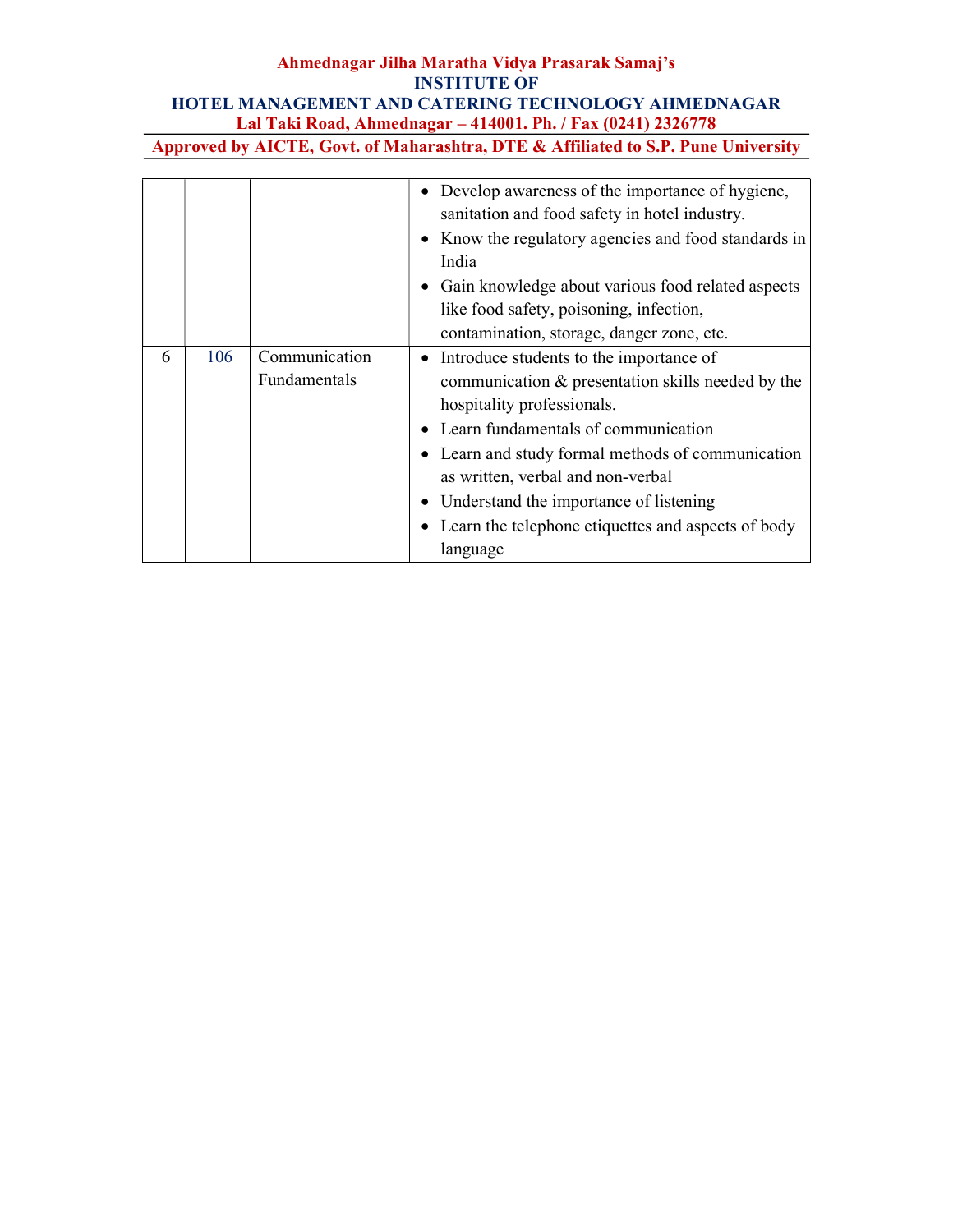# Ahmednagar Jilha Maratha Vidya Prasarak Samaj's INSTITUTE OF HOTEL MANAGEMENT AND CATERING TECHNOLOGY AHMEDNAGAR Lal Taki Road, Ahmednagar – 414001. Ph. / Fax (0241) 2326778

Approved by AICTE, Govt. of Maharashtra, DTE & Affiliated to S.P. Pune University

|   |     |                               | Develop awareness of the importance of hygiene,<br>sanitation and food safety in hotel industry.<br>• Know the regulatory agencies and food standards in<br>India<br>• Gain knowledge about various food related aspects<br>like food safety, poisoning, infection,<br>contamination, storage, danger zone, etc.                                                              |
|---|-----|-------------------------------|-------------------------------------------------------------------------------------------------------------------------------------------------------------------------------------------------------------------------------------------------------------------------------------------------------------------------------------------------------------------------------|
| 6 | 106 | Communication<br>Fundamentals | • Introduce students to the importance of<br>communication & presentation skills needed by the<br>hospitality professionals.<br>Learn fundamentals of communication<br>• Learn and study formal methods of communication<br>as written, verbal and non-verbal<br>• Understand the importance of listening<br>• Learn the telephone etiquettes and aspects of body<br>language |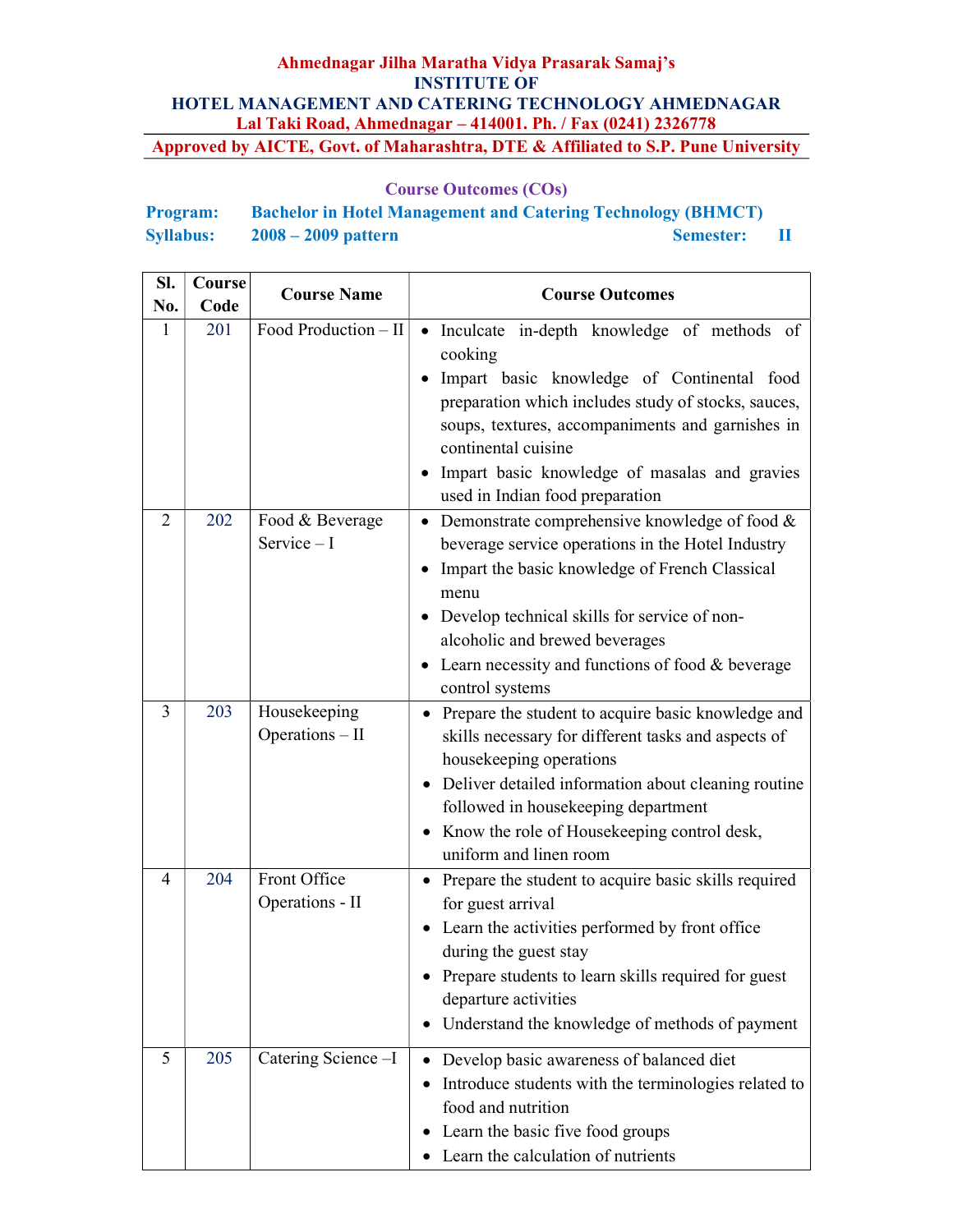| <b>Program:</b>  | <b>Bachelor in Hotel Management and Catering Technology (BHMCT)</b> |                  |  |
|------------------|---------------------------------------------------------------------|------------------|--|
| <b>Syllabus:</b> | $2008 - 2009$ pattern                                               | <b>Semester:</b> |  |

| SI.            | Course | <b>Course Name</b>              | <b>Course Outcomes</b>                                                                                                                                                                                                                                                                                                                                         |  |
|----------------|--------|---------------------------------|----------------------------------------------------------------------------------------------------------------------------------------------------------------------------------------------------------------------------------------------------------------------------------------------------------------------------------------------------------------|--|
| No.            | Code   |                                 |                                                                                                                                                                                                                                                                                                                                                                |  |
| 1              | 201    | Food Production - II            | Inculcate in-depth knowledge of methods of<br>$\bullet$<br>cooking<br>Impart basic knowledge of Continental food<br>preparation which includes study of stocks, sauces,<br>soups, textures, accompaniments and garnishes in<br>continental cuisine<br>Impart basic knowledge of masalas and gravies<br>used in Indian food preparation                         |  |
| $\overline{2}$ | 202    | Food & Beverage<br>Service $-I$ | Demonstrate comprehensive knowledge of food &<br>$\bullet$<br>beverage service operations in the Hotel Industry<br>Impart the basic knowledge of French Classical<br>$\bullet$<br>menu<br>• Develop technical skills for service of non-<br>alcoholic and brewed beverages<br>Learn necessity and functions of food & beverage<br>$\bullet$<br>control systems |  |
| 3              | 203    | Housekeeping<br>Operations - II | Prepare the student to acquire basic knowledge and<br>skills necessary for different tasks and aspects of<br>housekeeping operations<br>• Deliver detailed information about cleaning routine<br>followed in housekeeping department<br>• Know the role of Housekeeping control desk,<br>uniform and linen room                                                |  |
| $\overline{4}$ | 204    | Front Office<br>Operations - II | Prepare the student to acquire basic skills required<br>for guest arrival<br>Learn the activities performed by front office<br>$\bullet$<br>during the guest stay<br>Prepare students to learn skills required for guest<br>departure activities<br>Understand the knowledge of methods of payment                                                             |  |
| 5              | 205    | Catering Science-I              | Develop basic awareness of balanced diet<br>Introduce students with the terminologies related to<br>food and nutrition<br>Learn the basic five food groups<br>Learn the calculation of nutrients<br>$\bullet$                                                                                                                                                  |  |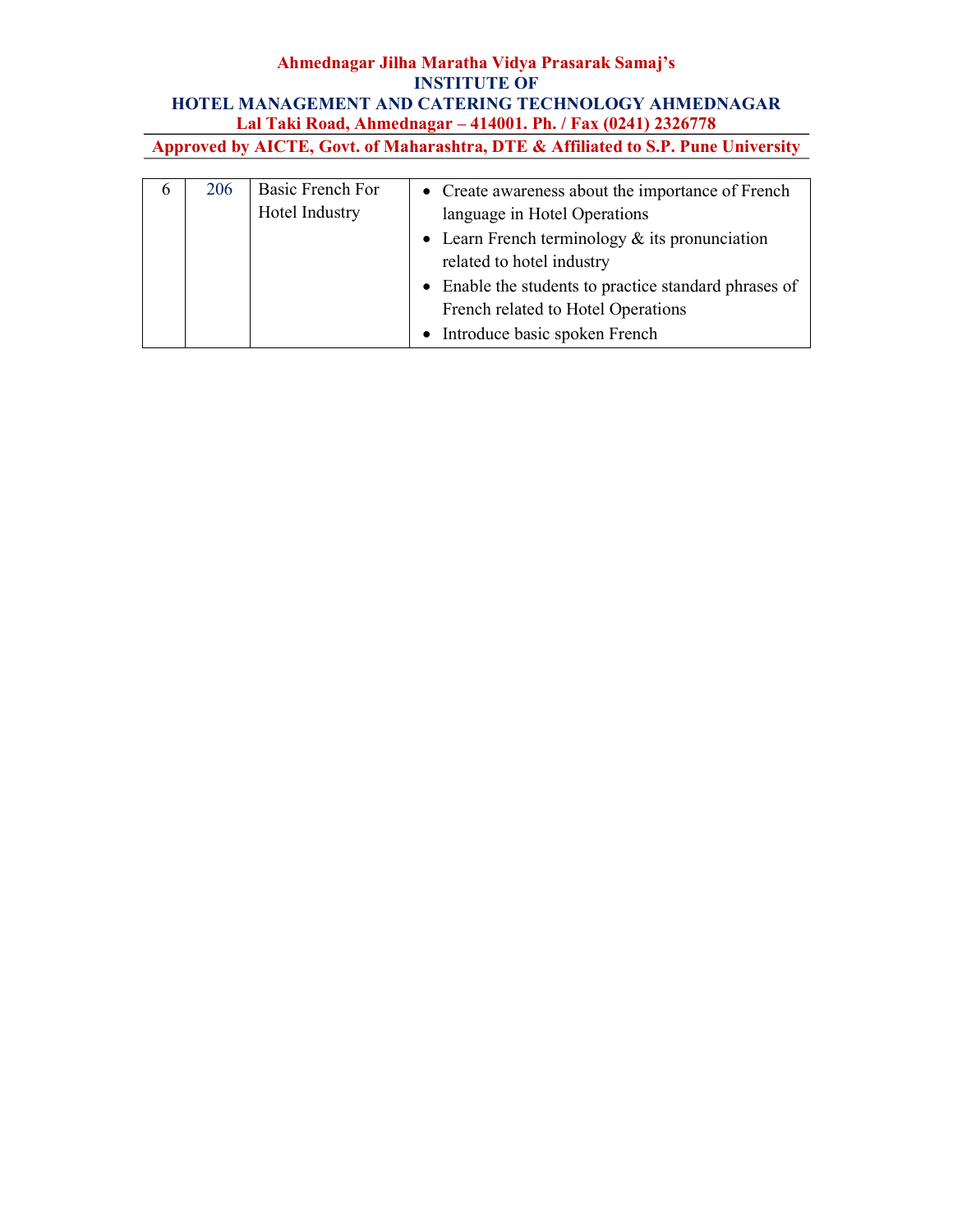| $\sigma$ | 206 | Basic French For | • Create awareness about the importance of French     |
|----------|-----|------------------|-------------------------------------------------------|
|          |     | Hotel Industry   | language in Hotel Operations                          |
|          |     |                  | • Learn French terminology $&$ its pronunciation      |
|          |     |                  | related to hotel industry                             |
|          |     |                  | • Enable the students to practice standard phrases of |
|          |     |                  | French related to Hotel Operations                    |
|          |     |                  | • Introduce basic spoken French                       |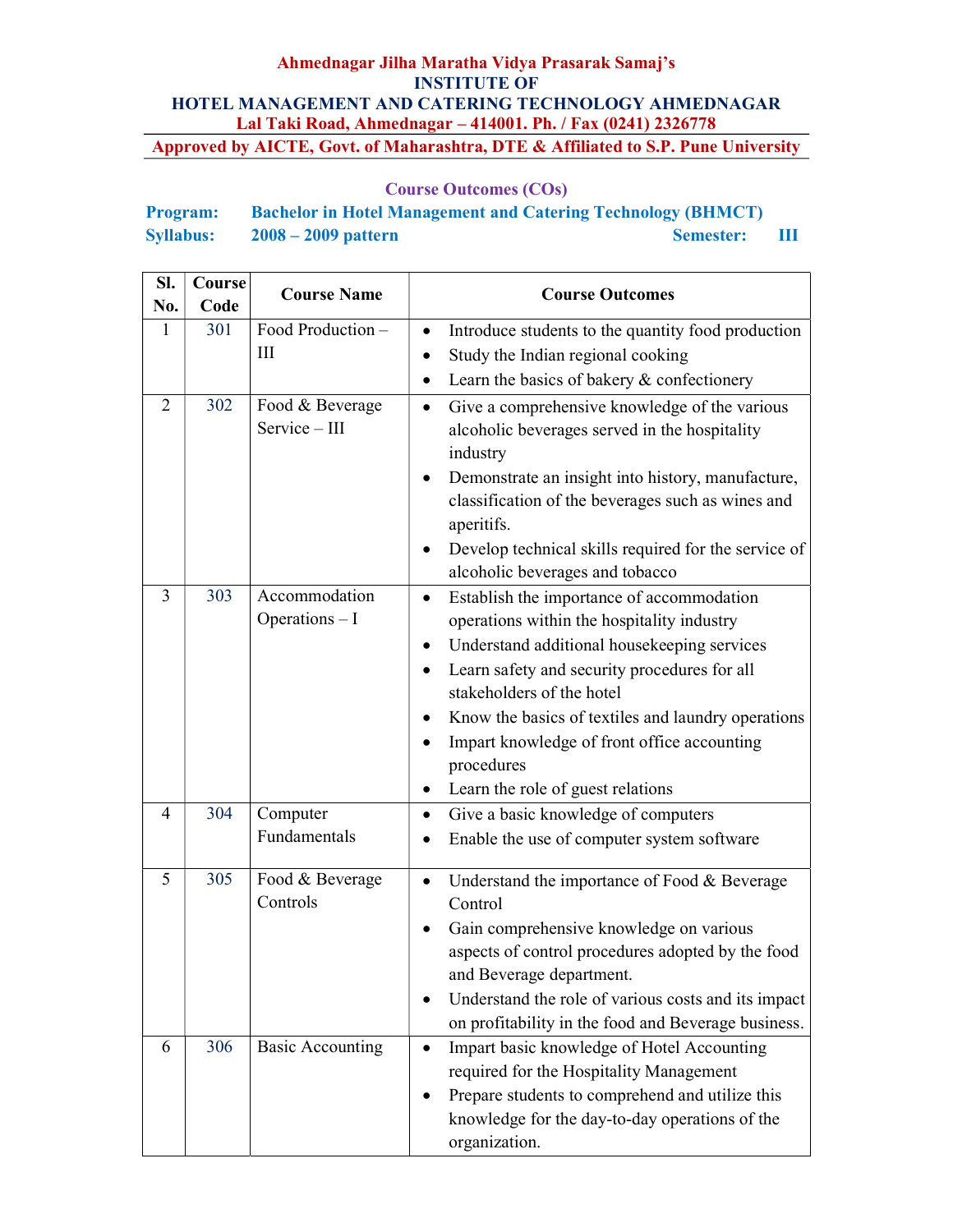| <b>Program:</b>  | <b>Bachelor in Hotel Management and Catering Technology (BHMCT)</b> |                  |        |
|------------------|---------------------------------------------------------------------|------------------|--------|
| <b>Syllabus:</b> | $2008 - 2009$ pattern                                               | <b>Semester:</b> | - 1111 |

| SI.<br>No.     | Course<br>Code | <b>Course Name</b>               | <b>Course Outcomes</b>                                                                                                                                                                                                                                                                                                                                                                                |  |
|----------------|----------------|----------------------------------|-------------------------------------------------------------------------------------------------------------------------------------------------------------------------------------------------------------------------------------------------------------------------------------------------------------------------------------------------------------------------------------------------------|--|
| $\mathbf{1}$   | 301            | Food Production-<br>III          | Introduce students to the quantity food production<br>Study the Indian regional cooking<br>$\bullet$<br>Learn the basics of bakery & confectionery                                                                                                                                                                                                                                                    |  |
| $\overline{2}$ | 302            | Food & Beverage<br>Service - III | Give a comprehensive knowledge of the various<br>alcoholic beverages served in the hospitality<br>industry<br>Demonstrate an insight into history, manufacture,<br>classification of the beverages such as wines and<br>aperitifs.<br>Develop technical skills required for the service of<br>٠<br>alcoholic beverages and tobacco                                                                    |  |
| 3              | 303            | Accommodation<br>Operations - I  | Establish the importance of accommodation<br>$\bullet$<br>operations within the hospitality industry<br>Understand additional housekeeping services<br>$\bullet$<br>Learn safety and security procedures for all<br>stakeholders of the hotel<br>Know the basics of textiles and laundry operations<br>Impart knowledge of front office accounting<br>procedures<br>Learn the role of guest relations |  |
| 4              | 304            | Computer<br>Fundamentals         | Give a basic knowledge of computers<br>$\bullet$<br>Enable the use of computer system software<br>٠                                                                                                                                                                                                                                                                                                   |  |
| 5              | 305            | Food & Beverage<br>Controls      | Understand the importance of Food & Beverage<br>Control<br>Gain comprehensive knowledge on various<br>aspects of control procedures adopted by the food<br>and Beverage department.<br>Understand the role of various costs and its impact<br>on profitability in the food and Beverage business.                                                                                                     |  |
| 6              | 306            | <b>Basic Accounting</b>          | Impart basic knowledge of Hotel Accounting<br>$\bullet$<br>required for the Hospitality Management<br>Prepare students to comprehend and utilize this<br>knowledge for the day-to-day operations of the<br>organization.                                                                                                                                                                              |  |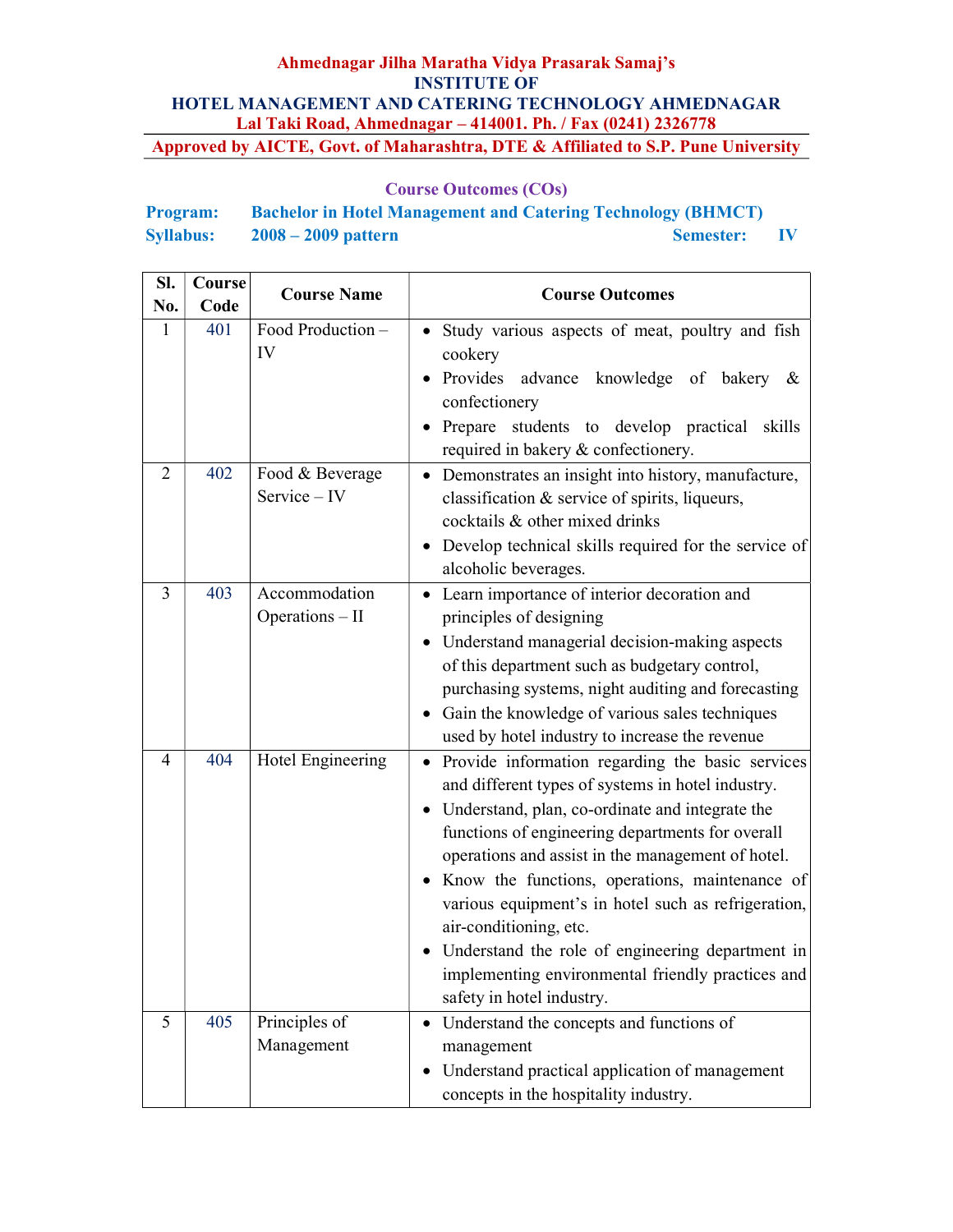| <b>Program:</b>  | <b>Bachelor in Hotel Management and Catering Technology (BHMCT)</b> |                  |              |
|------------------|---------------------------------------------------------------------|------------------|--------------|
| <b>Syllabus:</b> | $2008 - 2009$ pattern                                               | <b>Semester:</b> | $\mathbf{N}$ |

| SI.<br>No.     | Course<br>Code | <b>Course Name</b>               | <b>Course Outcomes</b>                                                                                                                                                                                                                                                                                                                                                                                                                                                                                                                                    |  |
|----------------|----------------|----------------------------------|-----------------------------------------------------------------------------------------------------------------------------------------------------------------------------------------------------------------------------------------------------------------------------------------------------------------------------------------------------------------------------------------------------------------------------------------------------------------------------------------------------------------------------------------------------------|--|
| $\mathbf{1}$   | 401            | Food Production -<br>IV          | Study various aspects of meat, poultry and fish<br>cookery<br>Provides advance knowledge of bakery &<br>confectionery<br>students to develop practical skills<br>Prepare<br>required in bakery & confectionery.                                                                                                                                                                                                                                                                                                                                           |  |
| $\overline{2}$ | 402            | Food & Beverage<br>Service - IV  | Demonstrates an insight into history, manufacture,<br>classification & service of spirits, liqueurs,<br>cocktails & other mixed drinks<br>Develop technical skills required for the service of<br>alcoholic beverages.                                                                                                                                                                                                                                                                                                                                    |  |
| 3              | 403            | Accommodation<br>Operations - II | Learn importance of interior decoration and<br>principles of designing<br>Understand managerial decision-making aspects<br>$\bullet$<br>of this department such as budgetary control,<br>purchasing systems, night auditing and forecasting<br>Gain the knowledge of various sales techniques<br>used by hotel industry to increase the revenue                                                                                                                                                                                                           |  |
| $\overline{4}$ | 404            | Hotel Engineering                | Provide information regarding the basic services<br>$\bullet$<br>and different types of systems in hotel industry.<br>Understand, plan, co-ordinate and integrate the<br>functions of engineering departments for overall<br>operations and assist in the management of hotel.<br>Know the functions, operations, maintenance of<br>various equipment's in hotel such as refrigeration,<br>air-conditioning, etc.<br>• Understand the role of engineering department in<br>implementing environmental friendly practices and<br>safety in hotel industry. |  |
| 5              | 405            | Principles of<br>Management      | Understand the concepts and functions of<br>management<br>Understand practical application of management<br>concepts in the hospitality industry.                                                                                                                                                                                                                                                                                                                                                                                                         |  |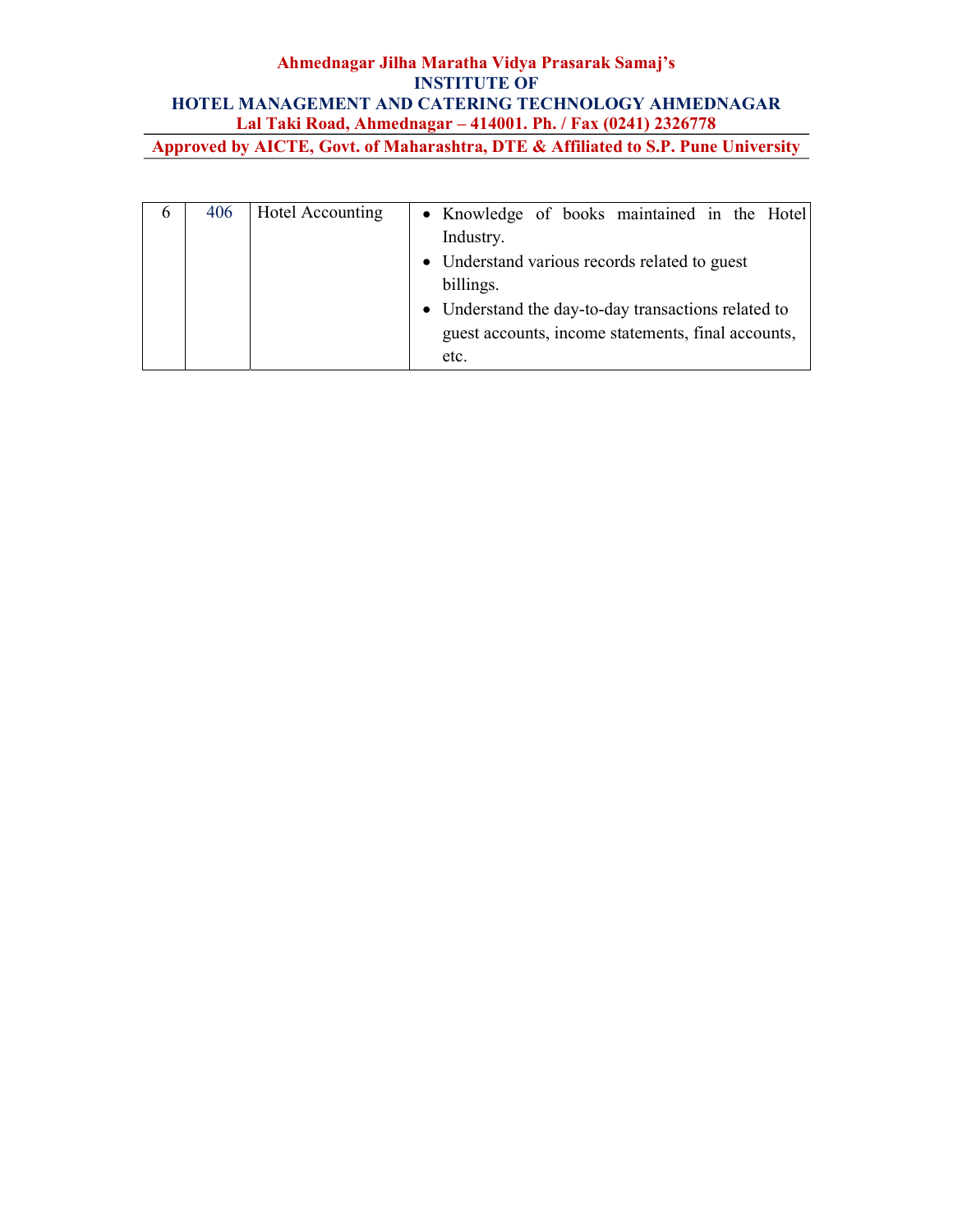| Approved by AICTE, Govt. of Manarashtra, DTE & Affinated to S.P. Pune University |  |
|----------------------------------------------------------------------------------|--|
|                                                                                  |  |

| $\sigma$ | 406 | Hotel Accounting | • Knowledge of books maintained in the Hotel        |
|----------|-----|------------------|-----------------------------------------------------|
|          |     |                  | Industry.                                           |
|          |     |                  | • Understand various records related to guest       |
|          |     |                  | billings.                                           |
|          |     |                  | • Understand the day-to-day transactions related to |
|          |     |                  | guest accounts, income statements, final accounts,  |
|          |     |                  | etc.                                                |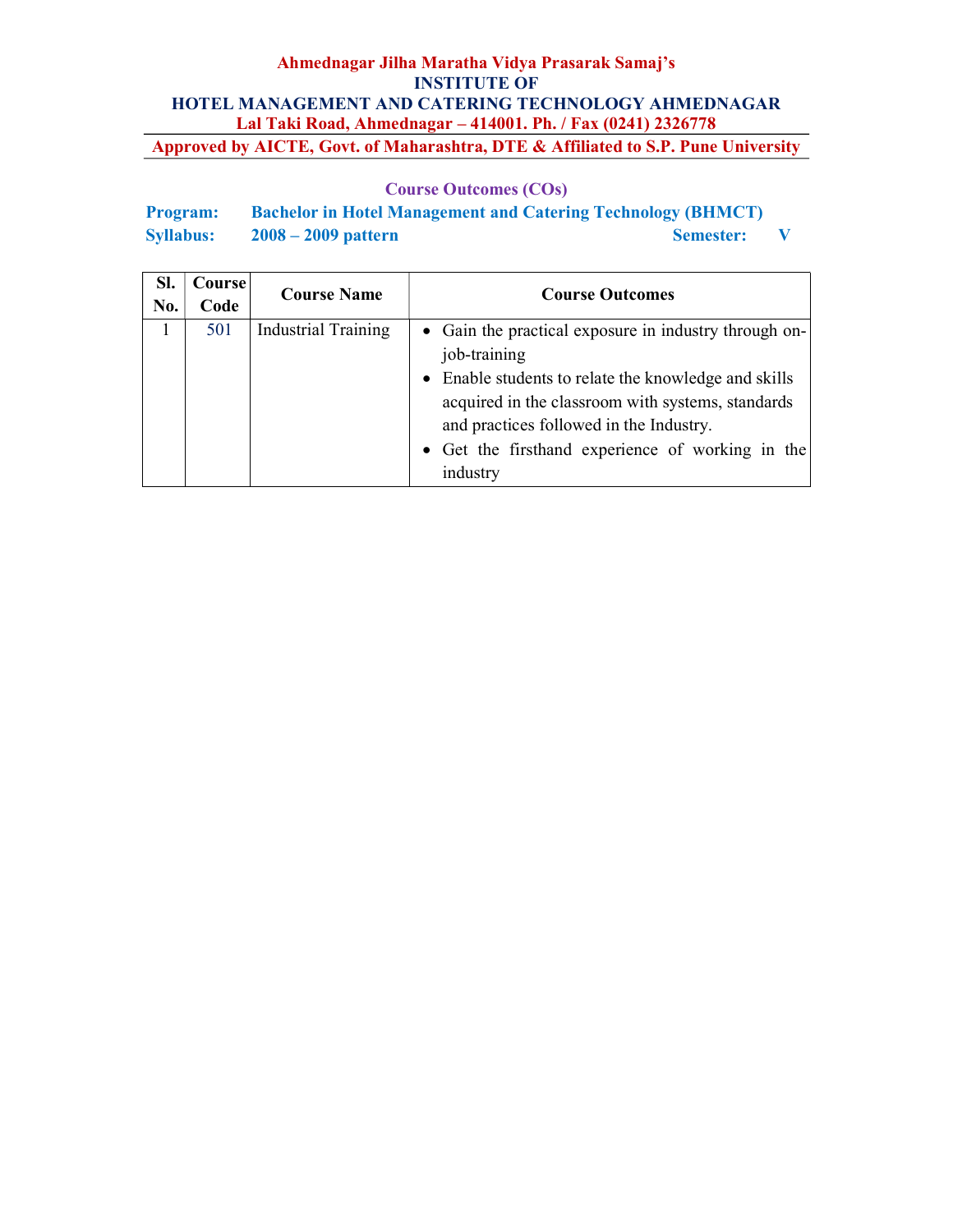| <b>Program:</b>  | <b>Bachelor in Hotel Management and Catering Technology (BHMCT)</b> |                  |  |
|------------------|---------------------------------------------------------------------|------------------|--|
| <b>Syllabus:</b> | $2008 - 2009$ pattern                                               | <b>Semester:</b> |  |

| Sl.<br>No. | Course<br>Code | <b>Course Name</b>         | <b>Course Outcomes</b>                                                                                                                                                                                                                                                                        |
|------------|----------------|----------------------------|-----------------------------------------------------------------------------------------------------------------------------------------------------------------------------------------------------------------------------------------------------------------------------------------------|
|            | 501            | <b>Industrial Training</b> | • Gain the practical exposure in industry through on-<br>job-training<br>• Enable students to relate the knowledge and skills<br>acquired in the classroom with systems, standards<br>and practices followed in the Industry.<br>• Get the firsthand experience of working in the<br>industry |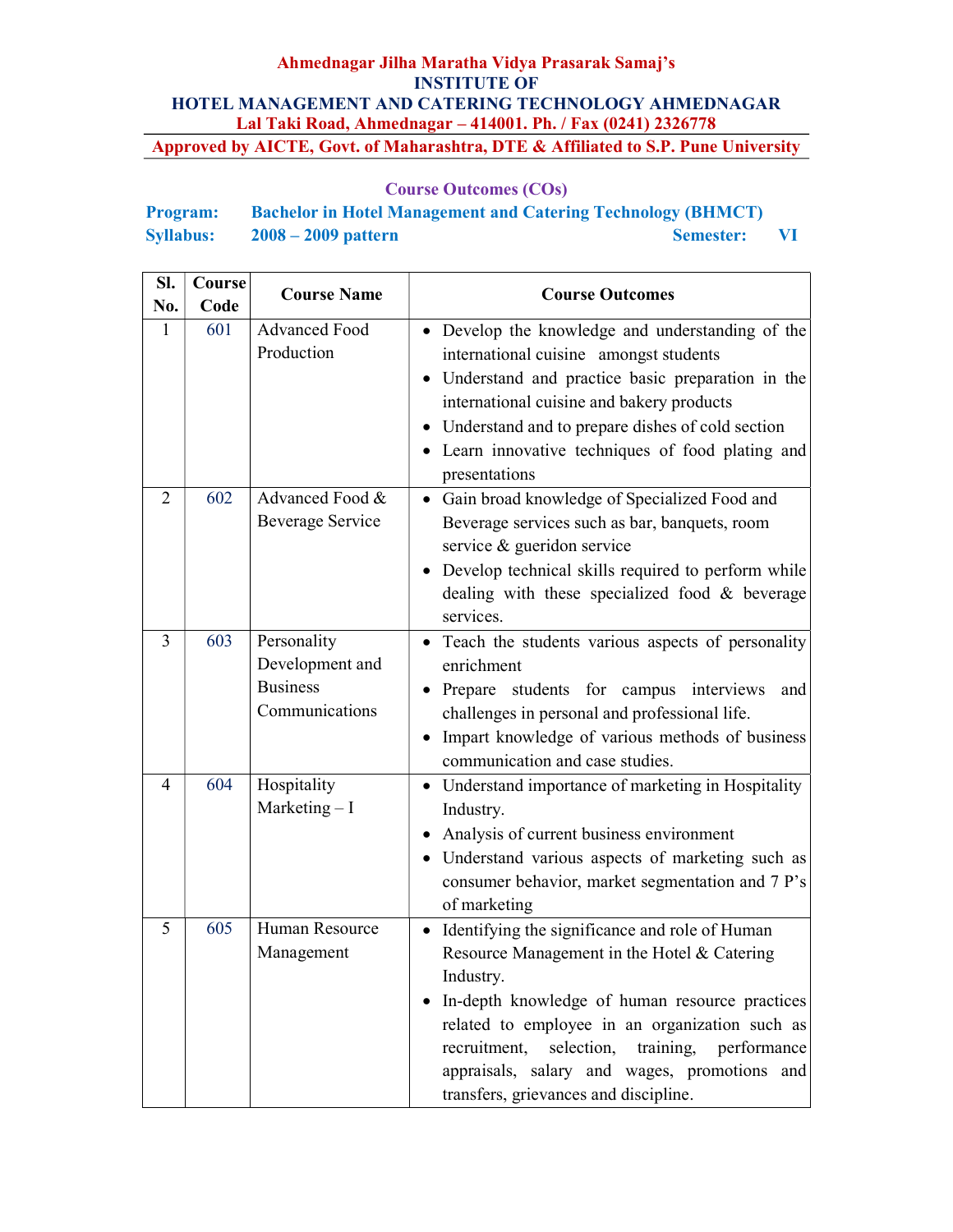| <b>Program:</b>  | <b>Bachelor in Hotel Management and Catering Technology (BHMCT)</b> |           |              |
|------------------|---------------------------------------------------------------------|-----------|--------------|
| <b>Syllabus:</b> | $2008 - 2009$ pattern                                               | Semester: | $\mathbf{V}$ |

| SI.<br>No.                  | Course<br>Code | <b>Course Name</b>                                                  | <b>Course Outcomes</b>                                                                                                                                                                                                                                                                                                                                                      |
|-----------------------------|----------------|---------------------------------------------------------------------|-----------------------------------------------------------------------------------------------------------------------------------------------------------------------------------------------------------------------------------------------------------------------------------------------------------------------------------------------------------------------------|
| 1                           | 601            | <b>Advanced Food</b><br>Production                                  | • Develop the knowledge and understanding of the<br>international cuisine amongst students<br>Understand and practice basic preparation in the<br>international cuisine and bakery products<br>Understand and to prepare dishes of cold section<br>• Learn innovative techniques of food plating and<br>presentations                                                       |
| $\mathcal{D}_{\mathcal{L}}$ | 602            | Advanced Food &<br>Beverage Service                                 | Gain broad knowledge of Specialized Food and<br>$\bullet$<br>Beverage services such as bar, banquets, room<br>service & gueridon service<br>Develop technical skills required to perform while<br>dealing with these specialized food $\&$ beverage<br>services.                                                                                                            |
| 3                           | 603            | Personality<br>Development and<br><b>Business</b><br>Communications | • Teach the students various aspects of personality<br>enrichment<br>• Prepare students for campus interviews<br>and<br>challenges in personal and professional life.<br>Impart knowledge of various methods of business<br>$\bullet$<br>communication and case studies.                                                                                                    |
| 4                           | 604            | Hospitality<br>Marketing $- I$                                      | • Understand importance of marketing in Hospitality<br>Industry.<br>Analysis of current business environment<br>• Understand various aspects of marketing such as<br>consumer behavior, market segmentation and 7 P's<br>of marketing                                                                                                                                       |
| 5                           | 605            | Human Resource<br>Management                                        | Identifying the significance and role of Human<br>$\bullet$<br>Resource Management in the Hotel & Catering<br>Industry.<br>In-depth knowledge of human resource practices<br>related to employee in an organization such as<br>recruitment,<br>selection,<br>training, performance<br>appraisals, salary and wages, promotions and<br>transfers, grievances and discipline. |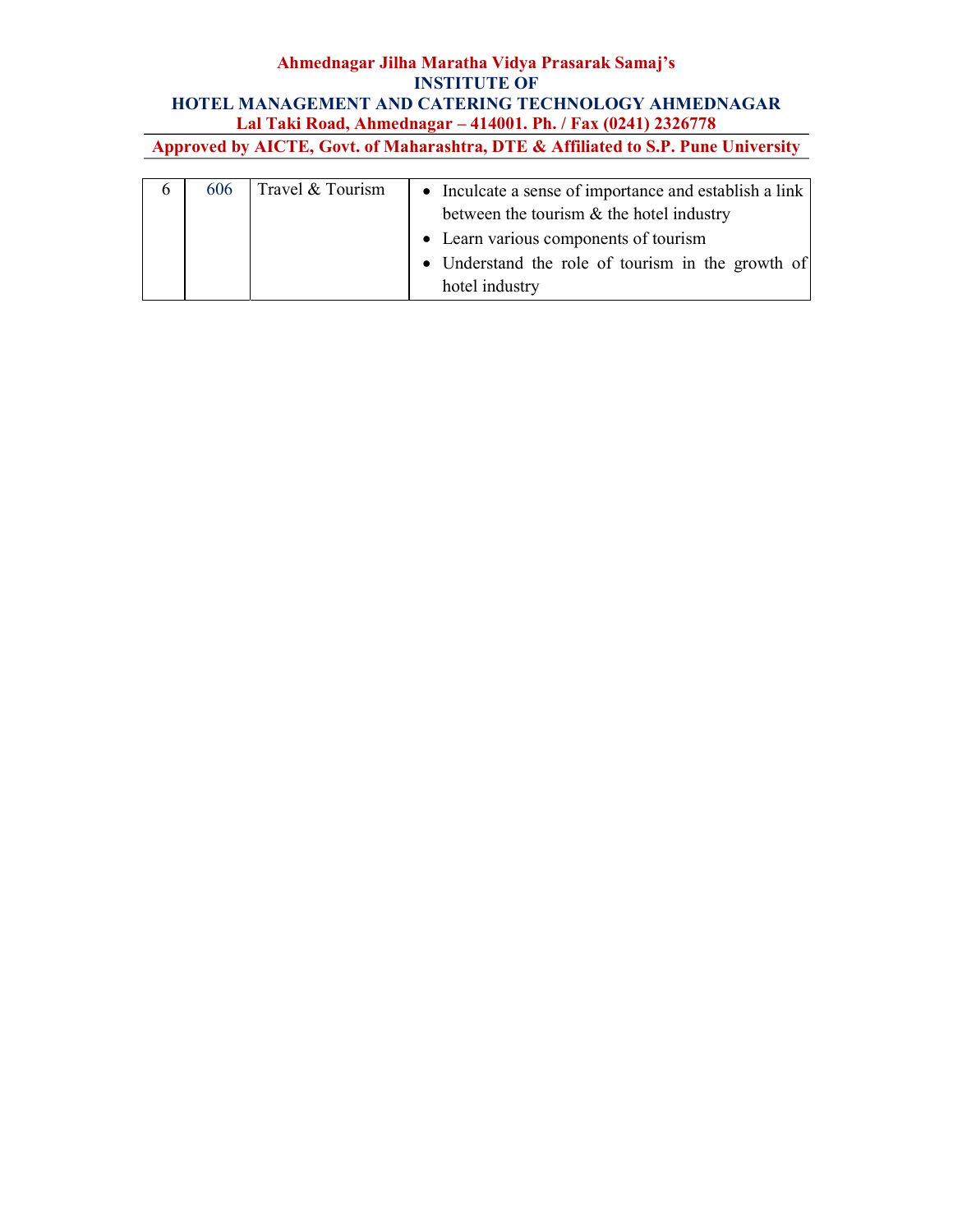| $\mathbf b$ | 606 | Travel & Tourism | • Inculcate a sense of importance and establish a link<br>between the tourism $\&$ the hotel industry<br>• Learn various components of tourism<br>• Understand the role of tourism in the growth of |
|-------------|-----|------------------|-----------------------------------------------------------------------------------------------------------------------------------------------------------------------------------------------------|
|             |     |                  | hotel industry                                                                                                                                                                                      |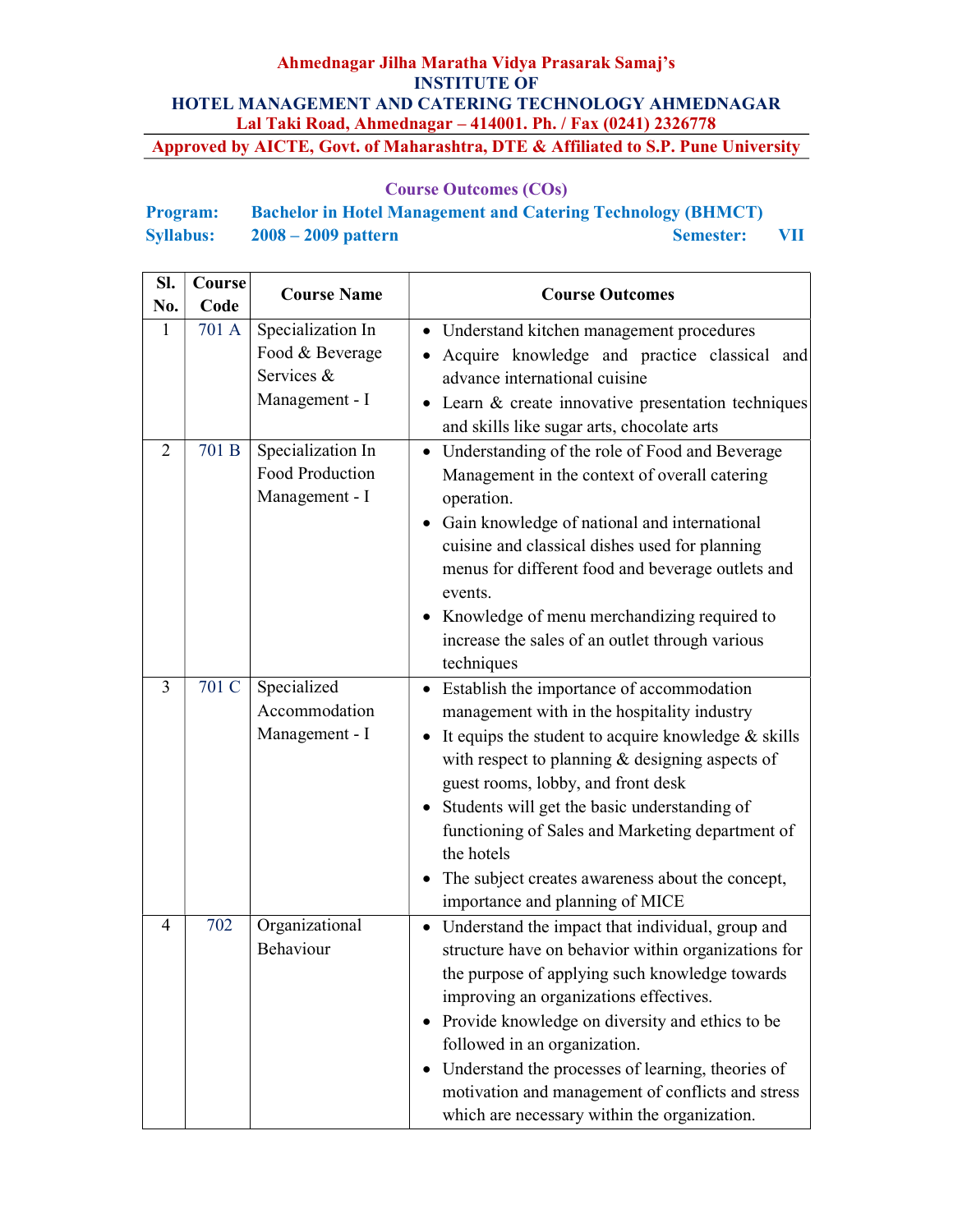| <b>Program:</b>  | <b>Bachelor in Hotel Management and Catering Technology (BHMCT)</b> |                  |              |
|------------------|---------------------------------------------------------------------|------------------|--------------|
| <b>Syllabus:</b> | $2008 - 2009$ pattern                                               | <b>Semester:</b> | $\mathbf{V}$ |

| SI.<br>No.     | Course<br>Code | <b>Course Name</b>                                                   | <b>Course Outcomes</b>                                                                                                                                                                                                                                                                                                                                                                                                                                |
|----------------|----------------|----------------------------------------------------------------------|-------------------------------------------------------------------------------------------------------------------------------------------------------------------------------------------------------------------------------------------------------------------------------------------------------------------------------------------------------------------------------------------------------------------------------------------------------|
| 1              | 701 A          | Specialization In<br>Food & Beverage<br>Services &<br>Management - I | Understand kitchen management procedures<br>Acquire knowledge and practice classical and<br>advance international cuisine<br>Learn & create innovative presentation techniques<br>and skills like sugar arts, chocolate arts                                                                                                                                                                                                                          |
| $\overline{2}$ | 701 B          | Specialization In<br>Food Production<br>Management - I               | • Understanding of the role of Food and Beverage<br>Management in the context of overall catering<br>operation.<br>Gain knowledge of national and international<br>$\bullet$<br>cuisine and classical dishes used for planning<br>menus for different food and beverage outlets and<br>events.<br>• Knowledge of menu merchandizing required to<br>increase the sales of an outlet through various<br>techniques                                      |
| 3              | 701 C          | Specialized<br>Accommodation<br>Management - I                       | Establish the importance of accommodation<br>management with in the hospitality industry<br>It equips the student to acquire knowledge $&$ skills<br>with respect to planning $&$ designing aspects of<br>guest rooms, lobby, and front desk<br>Students will get the basic understanding of<br>functioning of Sales and Marketing department of<br>the hotels<br>The subject creates awareness about the concept,<br>importance and planning of MICE |
| 4              | 702            | Organizational<br>Behaviour                                          | • Understand the impact that individual, group and<br>structure have on behavior within organizations for<br>the purpose of applying such knowledge towards<br>improving an organizations effectives.<br>Provide knowledge on diversity and ethics to be<br>followed in an organization.<br>Understand the processes of learning, theories of<br>motivation and management of conflicts and stress<br>which are necessary within the organization.    |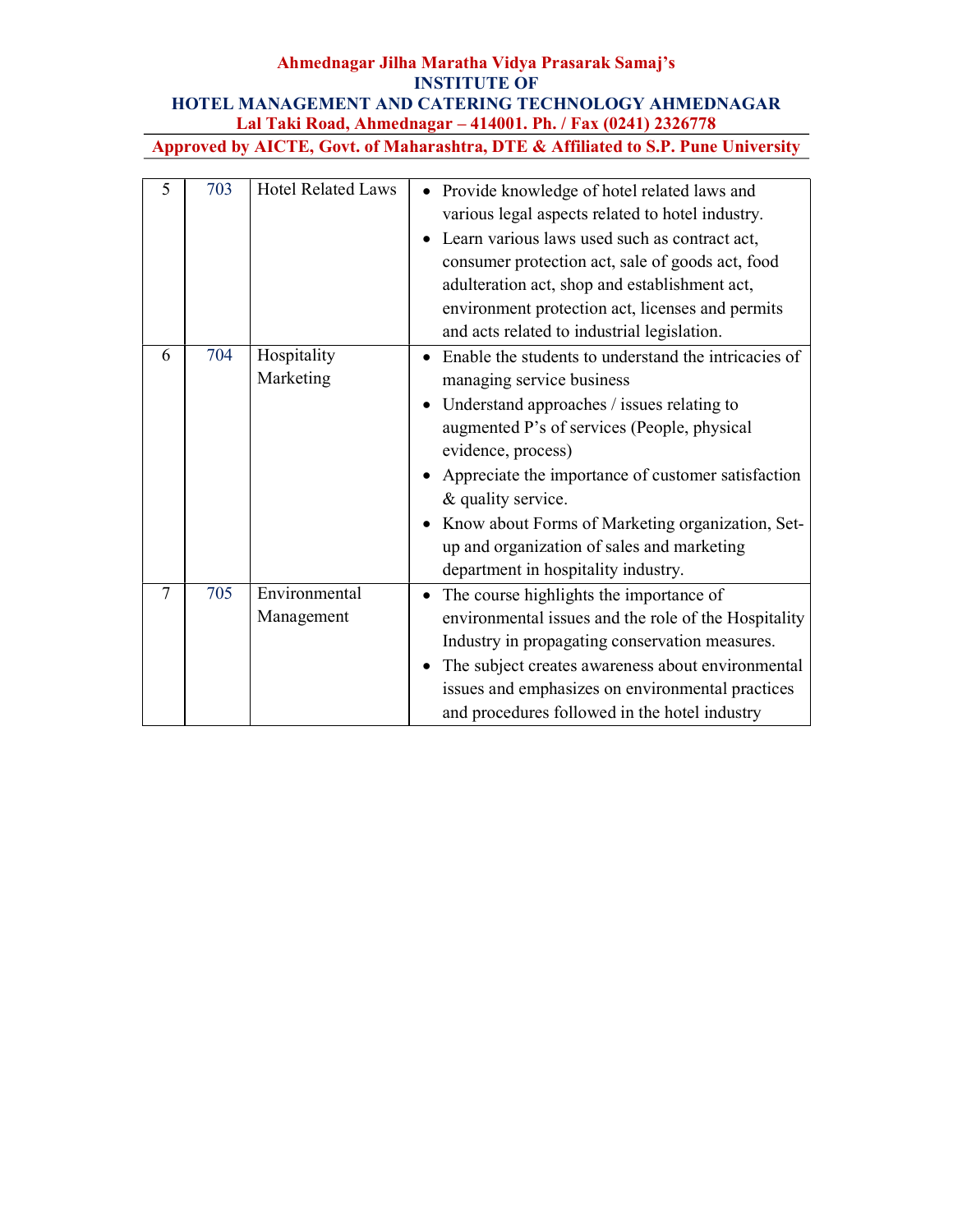### Ahmednagar Jilha Maratha Vidya Prasarak Samaj's INSTITUTE OF HOTEL MANAGEMENT AND CATERING TECHNOLOGY AHMEDNAGAR Lal Taki Road, Ahmednagar – 414001. Ph. / Fax (0241) 2326778

Approved by AICTE, Govt. of Maharashtra, DTE & Affiliated to S.P. Pune University

| 5 | 703 | <b>Hotel Related Laws</b>   | Provide knowledge of hotel related laws and<br>various legal aspects related to hotel industry.<br>Learn various laws used such as contract act,<br>consumer protection act, sale of goods act, food<br>adulteration act, shop and establishment act,<br>environment protection act, licenses and permits<br>and acts related to industrial legislation.                                                                  |
|---|-----|-----------------------------|---------------------------------------------------------------------------------------------------------------------------------------------------------------------------------------------------------------------------------------------------------------------------------------------------------------------------------------------------------------------------------------------------------------------------|
| 6 | 704 | Hospitality<br>Marketing    | Enable the students to understand the intricacies of<br>managing service business<br>Understand approaches / issues relating to<br>augmented P's of services (People, physical<br>evidence, process)<br>Appreciate the importance of customer satisfaction<br>& quality service.<br>Know about Forms of Marketing organization, Set-<br>up and organization of sales and marketing<br>department in hospitality industry. |
| 7 | 705 | Environmental<br>Management | The course highlights the importance of<br>environmental issues and the role of the Hospitality<br>Industry in propagating conservation measures.<br>The subject creates awareness about environmental<br>issues and emphasizes on environmental practices<br>and procedures followed in the hotel industry                                                                                                               |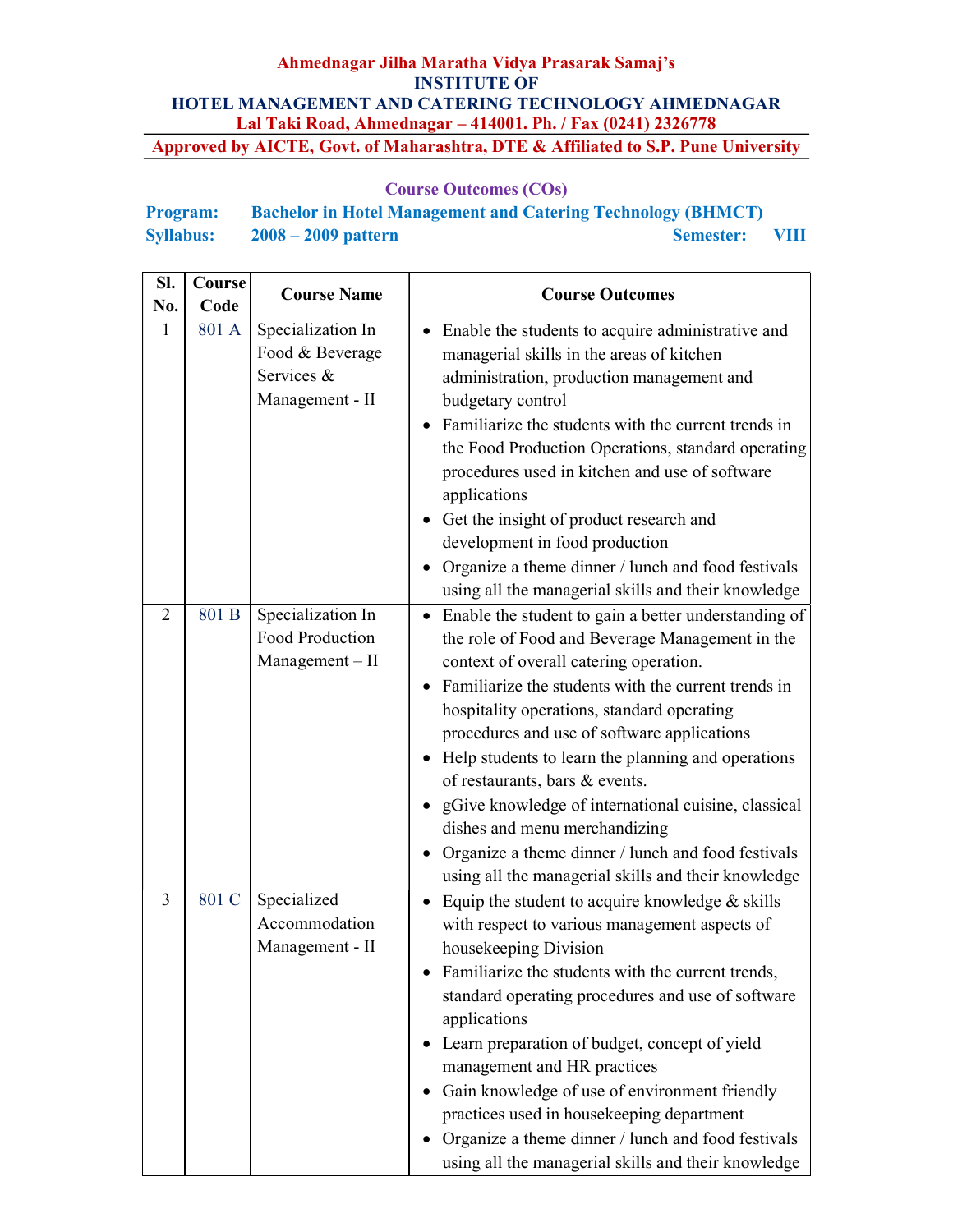| <b>Program:</b>  | <b>Bachelor in Hotel Management and Catering Technology (BHMCT)</b> |                |  |
|------------------|---------------------------------------------------------------------|----------------|--|
| <b>Syllabus:</b> | $2008 - 2009$ pattern                                               | Semester: VIII |  |

| SI.<br>No. | Course<br>Code | <b>Course Name</b>                                                    | <b>Course Outcomes</b>                                                                                                                                                                                                                                                                                                                                                                                                                                                                                                                                                                                            |
|------------|----------------|-----------------------------------------------------------------------|-------------------------------------------------------------------------------------------------------------------------------------------------------------------------------------------------------------------------------------------------------------------------------------------------------------------------------------------------------------------------------------------------------------------------------------------------------------------------------------------------------------------------------------------------------------------------------------------------------------------|
| 1          | 801 A          | Specialization In<br>Food & Beverage<br>Services &<br>Management - II | Enable the students to acquire administrative and<br>managerial skills in the areas of kitchen<br>administration, production management and<br>budgetary control<br>Familiarize the students with the current trends in<br>the Food Production Operations, standard operating<br>procedures used in kitchen and use of software<br>applications<br>Get the insight of product research and<br>development in food production<br>Organize a theme dinner / lunch and food festivals<br>using all the managerial skills and their knowledge                                                                         |
| 2          | 801 B          | Specialization In<br>Food Production<br>$Management - II$             | Enable the student to gain a better understanding of<br>$\bullet$<br>the role of Food and Beverage Management in the<br>context of overall catering operation.<br>Familiarize the students with the current trends in<br>hospitality operations, standard operating<br>procedures and use of software applications<br>• Help students to learn the planning and operations<br>of restaurants, bars & events.<br>gGive knowledge of international cuisine, classical<br>dishes and menu merchandizing<br>Organize a theme dinner / lunch and food festivals<br>using all the managerial skills and their knowledge |
| 3          | 801 C          | Specialized<br>Accommodation<br>Management - II                       | Equip the student to acquire knowledge $&$ skills<br>with respect to various management aspects of<br>housekeeping Division<br>Familiarize the students with the current trends,<br>standard operating procedures and use of software<br>applications<br>Learn preparation of budget, concept of yield<br>management and HR practices<br>Gain knowledge of use of environment friendly<br>practices used in housekeeping department<br>Organize a theme dinner / lunch and food festivals<br>using all the managerial skills and their knowledge                                                                  |